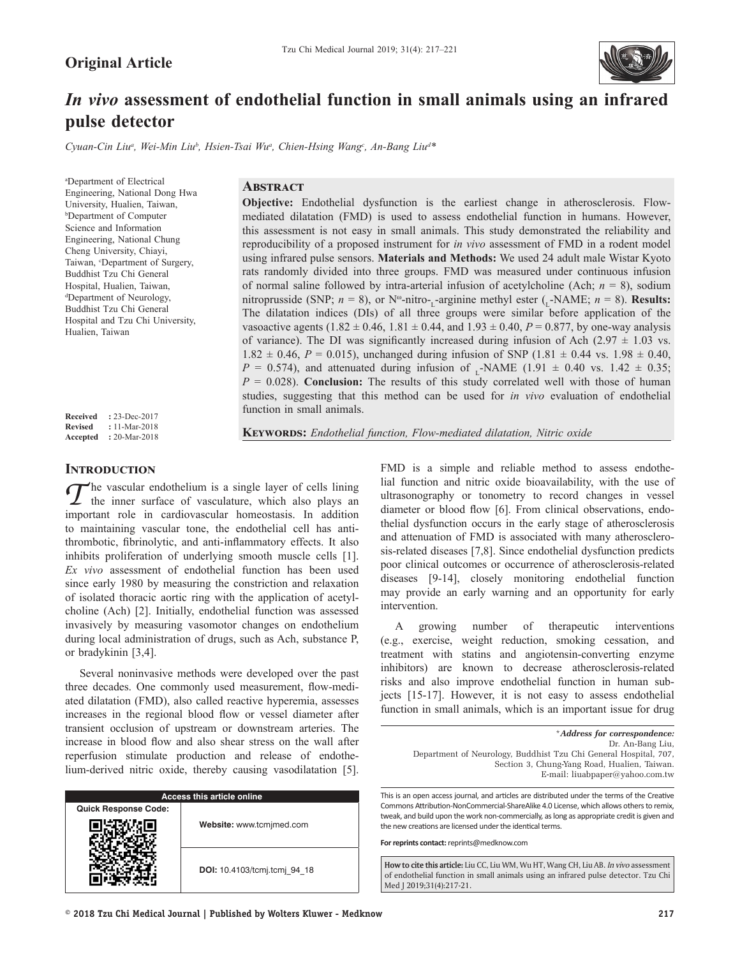

# *In vivo* **assessment of endothelial function in small animals using an infrared pulse detector**

Cyuan-Cin Liu<sup>a</sup>, Wei-Min Liu<sup>b</sup>, Hsien-Tsai Wu<sup>a</sup>, Chien-Hsing Wang<sup>c</sup>, An-Bang Liu<sup>a\*</sup>

a Department of Electrical Engineering, National Dong Hwa University, Hualien, Taiwan, b Department of Computer Science and Information Engineering, National Chung Cheng University, Chiayi, Taiwan, *'Department* of Surgery, Buddhist Tzu Chi General Hospital, Hualien, Taiwan, d Department of Neurology, Buddhist Tzu Chi General Hospital and Tzu Chi University, Hualien, Taiwan

**Original Article**

**Received :** 23-Dec-2017 **Revised :** 11-Mar-2018 **Accepted :** 20-Mar-2018

# **Abstract**

**Objective:** Endothelial dysfunction is the earliest change in atherosclerosis. Flowmediated dilatation (FMD) is used to assess endothelial function in humans. However, this assessment is not easy in small animals. This study demonstrated the reliability and reproducibility of a proposed instrument for *in vivo* assessment of FMD in a rodent model using infrared pulse sensors. **Materials and Methods:** We used 24 adult male Wistar Kyoto rats randomly divided into three groups. FMD was measured under continuous infusion of normal saline followed by intra-arterial infusion of acetylcholine (Ach;  $n = 8$ ), sodium nitroprusside (SNP;  $n = 8$ ), or N<sup>o</sup>-nitro-<sub>L</sub>-arginine methyl ester (<sub>L</sub>-NAME;  $n = 8$ ). **Results:** The dilatation indices (DIs) of all three groups were similar before application of the vasoactive agents (1.82  $\pm$  0.46, 1.81  $\pm$  0.44, and 1.93  $\pm$  0.40, *P* = 0.877, by one-way analysis of variance). The DI was significantly increased during infusion of Ach  $(2.97 \pm 1.03 \text{ vs.})$  $1.82 \pm 0.46$ ,  $P = 0.015$ ), unchanged during infusion of SNP (1.81  $\pm$  0.44 vs. 1.98  $\pm$  0.40,  $P = 0.574$ ), and attenuated during infusion of -NAME (1.91  $\pm$  0.40 vs. 1.42  $\pm$  0.35; *P* = 0.028). **Conclusion:** The results of this study correlated well with those of human studies, suggesting that this method can be used for *in vivo* evaluation of endothelial function in small animals.

**KEYWORDS:** Endothelial function, Flow-mediated dilatation, Nitric oxide

## **Introduction**

*T* he vascular endothelium is a single layer of cells lining the inner surface of vasculature, which also plays an important role in cardiovascular homeostasis. In addition to maintaining vascular tone, the endothelial cell has antithrombotic, fibrinolytic, and anti‑inflammatory effects. It also inhibits proliferation of underlying smooth muscle cells [1]. *Ex vivo* assessment of endothelial function has been used since early 1980 by measuring the constriction and relaxation of isolated thoracic aortic ring with the application of acetylcholine (Ach) [2]. Initially, endothelial function was assessed invasively by measuring vasomotor changes on endothelium during local administration of drugs, such as Ach, substance P, or bradykinin [3,4].

Several noninvasive methods were developed over the past three decades. One commonly used measurement, flow-mediated dilatation (FMD), also called reactive hyperemia, assesses increases in the regional blood flow or vessel diameter after transient occlusion of upstream or downstream arteries. The increase in blood flow and also shear stress on the wall after reperfusion stimulate production and release of endothelium-derived nitric oxide, thereby causing vasodilatation [5].

| Access this article online  |                              |  |  |
|-----------------------------|------------------------------|--|--|
| <b>Quick Response Code:</b> |                              |  |  |
|                             | Website: www.tcmjmed.com     |  |  |
|                             | DOI: 10.4103/tcmj.tcmj 94 18 |  |  |

FMD is a simple and reliable method to assess endothelial function and nitric oxide bioavailability, with the use of ultrasonography or tonometry to record changes in vessel diameter or blood flow [6]. From clinical observations, endothelial dysfunction occurs in the early stage of atherosclerosis and attenuation of FMD is associated with many atherosclerosis-related diseases [7,8]. Since endothelial dysfunction predicts poor clinical outcomes or occurrence of atherosclerosis-related diseases [9-14], closely monitoring endothelial function may provide an early warning and an opportunity for early intervention.

A growing number of therapeutic interventions (e.g., exercise, weight reduction, smoking cessation, and treatment with statins and angiotensin-converting enzyme inhibitors) are known to decrease atherosclerosis-related risks and also improve endothelial function in human subjects [15-17]. However, it is not easy to assess endothelial function in small animals, which is an important issue for drug

This is an open access journal, and articles are distributed under the terms of the Creative Commons Attribution-NonCommercial-ShareAlike 4.0 License, which allows others to remix, tweak, and build upon the work non-commercially, as long as appropriate credit is given and the new creations are licensed under the identical terms.

**For reprints contact:** reprints@medknow.com

How to cite this article: Liu CC, Liu WM, Wu HT, Wang CH, Liu AB. *In vivo* assessment of endothelial function in small animals using an infrared pulse detector. Tzu Chi Med J 2019;31(4):217-21.

<sup>\*</sup>*Address for correspondence:* Dr. An‑Bang Liu, Department of Neurology, Buddhist Tzu Chi General Hospital, 707, Section 3, Chung-Yang Road, Hualien, Taiwan. E‑mail: liuabpaper@yahoo.com.tw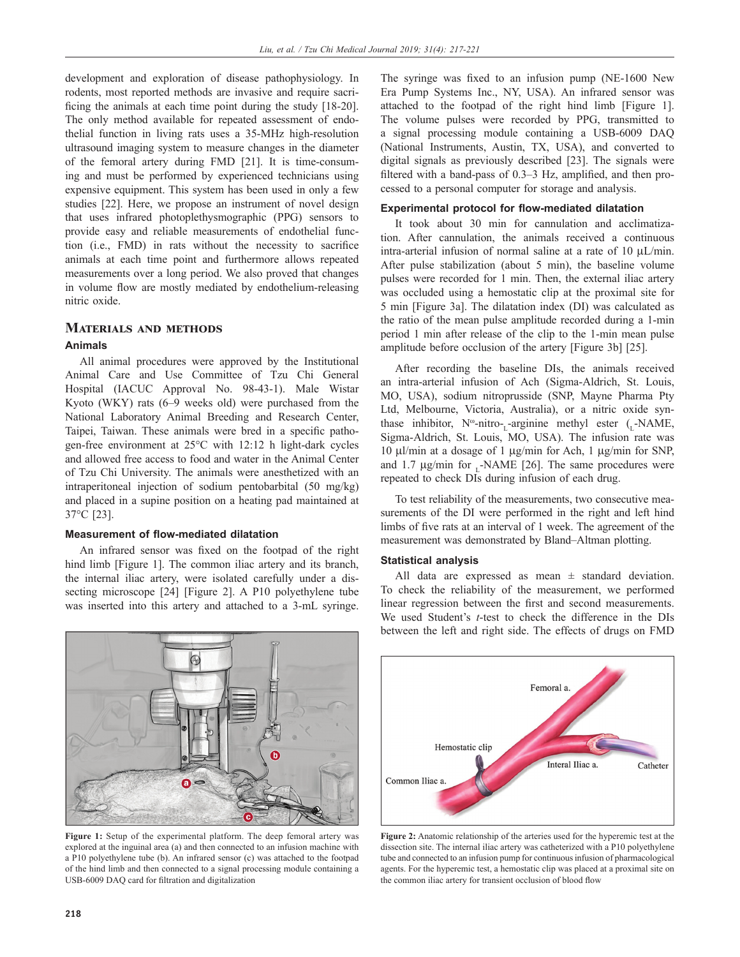development and exploration of disease pathophysiology. In rodents, most reported methods are invasive and require sacrificing the animals at each time point during the study [18‑20]. The only method available for repeated assessment of endothelial function in living rats uses a 35-MHz high-resolution ultrasound imaging system to measure changes in the diameter of the femoral artery during FMD [21]. It is time-consuming and must be performed by experienced technicians using expensive equipment. This system has been used in only a few studies [22]. Here, we propose an instrument of novel design that uses infrared photoplethysmographic (PPG) sensors to provide easy and reliable measurements of endothelial function (i.e., FMD) in rats without the necessity to sacrifice animals at each time point and furthermore allows repeated measurements over a long period. We also proved that changes in volume flow are mostly mediated by endothelium-releasing nitric oxide.

## **Materials and methods**

#### **Animals**

All animal procedures were approved by the Institutional Animal Care and Use Committee of Tzu Chi General Hospital (IACUC Approval No. 98-43-1). Male Wistar Kyoto (WKY) rats (6–9 weeks old) were purchased from the National Laboratory Animal Breeding and Research Center, Taipei, Taiwan. These animals were bred in a specific pathogen-free environment at 25°C with 12:12 h light-dark cycles and allowed free access to food and water in the Animal Center of Tzu Chi University. The animals were anesthetized with an intraperitoneal injection of sodium pentobarbital (50 mg/kg) and placed in a supine position on a heating pad maintained at 37°C [23].

### **Measurement of flow‑mediated dilatation**

An infrared sensor was fixed on the footpad of the right hind limb [Figure 1]. The common iliac artery and its branch, the internal iliac artery, were isolated carefully under a dissecting microscope [24] [Figure 2]. A P10 polyethylene tube was inserted into this artery and attached to a 3-mL syringe.

E  $a =$ 

**Figure 1:** Setup of the experimental platform. The deep femoral artery was explored at the inguinal area (a) and then connected to an infusion machine with a P10 polyethylene tube (b). An infrared sensor (c) was attached to the footpad of the hind limb and then connected to a signal processing module containing a USB‑6009 DAQ card for filtration and digitalization

The syringe was fixed to an infusion pump (NE-1600 New Era Pump Systems Inc., NY, USA). An infrared sensor was attached to the footpad of the right hind limb [Figure 1]. The volume pulses were recorded by PPG, transmitted to a signal processing module containing a USB-6009 DAQ (National Instruments, Austin, TX, USA), and converted to digital signals as previously described [23]. The signals were filtered with a band-pass of 0.3–3 Hz, amplified, and then processed to a personal computer for storage and analysis.

### **Experimental protocol for flow‑mediated dilatation**

It took about 30 min for cannulation and acclimatization. After cannulation, the animals received a continuous intra-arterial infusion of normal saline at a rate of 10  $\mu$ L/min. After pulse stabilization (about 5 min), the baseline volume pulses were recorded for 1 min. Then, the external iliac artery was occluded using a hemostatic clip at the proximal site for 5 min [Figure 3a]. The dilatation index (DI) was calculated as the ratio of the mean pulse amplitude recorded during a 1-min period 1 min after release of the clip to the 1-min mean pulse amplitude before occlusion of the artery [Figure 3b] [25].

After recording the baseline DIs, the animals received an intra-arterial infusion of Ach (Sigma-Aldrich, St. Louis, MO, USA), sodium nitroprusside (SNP, Mayne Pharma Pty Ltd, Melbourne, Victoria, Australia), or a nitric oxide synthase inhibitor,  $N^{\omega}$ -nitro-<sub>L</sub>-arginine methyl ester (<sub>L</sub>-NAME, Sigma-Aldrich, St. Louis, MO, USA). The infusion rate was 10 µl/min at a dosage of 1 µg/min for Ach, 1 µg/min for SNP, and 1.7  $\mu$ g/min for  $\mu$ -NAME [26]. The same procedures were repeated to check DIs during infusion of each drug.

To test reliability of the measurements, two consecutive measurements of the DI were performed in the right and left hind limbs of five rats at an interval of 1 week. The agreement of the measurement was demonstrated by Bland–Altman plotting.

#### **Statistical analysis**

All data are expressed as mean ± standard deviation. To check the reliability of the measurement, we performed linear regression between the first and second measurements. We used Student's *t*-test to check the difference in the DIs between the left and right side. The effects of drugs on FMD



**Figure 2:** Anatomic relationship of the arteries used for the hyperemic test at the dissection site. The internal iliac artery was catheterized with a P10 polyethylene tube and connected to an infusion pump for continuous infusion of pharmacological agents. For the hyperemic test, a hemostatic clip was placed at a proximal site on the common iliac artery for transient occlusion of blood flow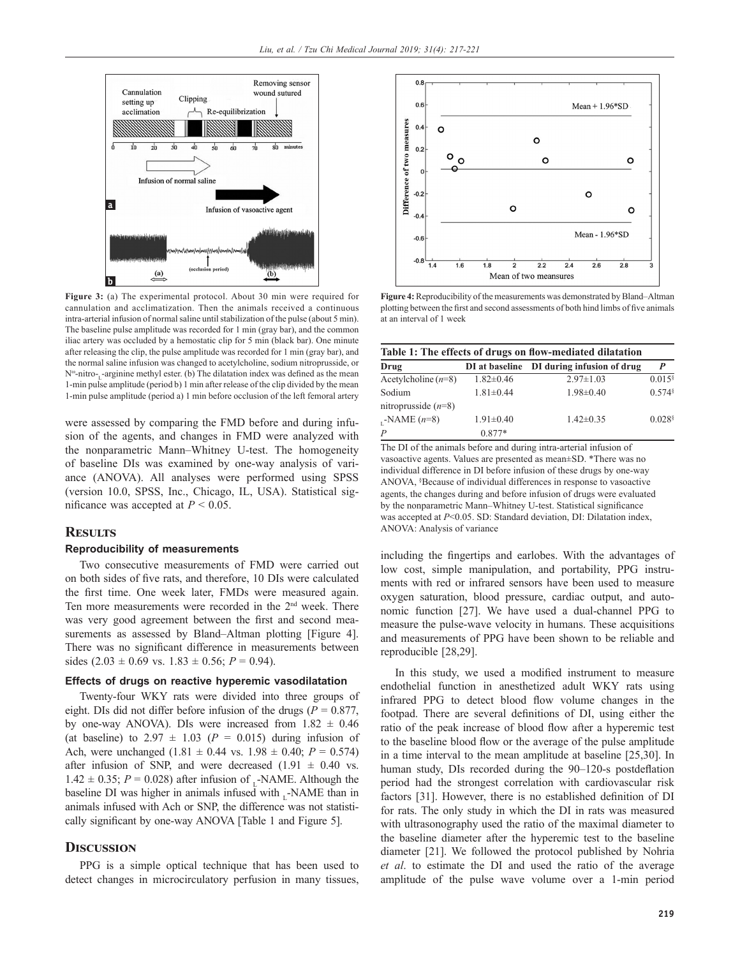

**Figure 3:** (a) The experimental protocol. About 30 min were required for cannulation and acclimatization. Then the animals received a continuous intra-arterial infusion of normal saline until stabilization of the pulse (about 5 min). The baseline pulse amplitude was recorded for 1 min (gray bar), and the common iliac artery was occluded by a hemostatic clip for 5 min (black bar). One minute after releasing the clip, the pulse amplitude was recorded for 1 min (gray bar), and the normal saline infusion was changed to acetylcholine, sodium nitroprusside, or N<sup>®</sup>-nitro-<sub>L</sub>-arginine methyl ester. (b) The dilatation index was defined as the mean 1-min pulse amplitude (period b) 1 min after release of the clip divided by the mean 1-min pulse amplitude (period a) 1 min before occlusion of the left femoral artery

were assessed by comparing the FMD before and during infusion of the agents, and changes in FMD were analyzed with the nonparametric Mann–Whitney U-test. The homogeneity of baseline DIs was examined by one-way analysis of variance (ANOVA). All analyses were performed using SPSS (version 10.0, SPSS, Inc., Chicago, IL, USA). Statistical significance was accepted at  $P < 0.05$ .

## **Results**

#### **Reproducibility of measurements**

Two consecutive measurements of FMD were carried out on both sides of five rats, and therefore, 10 DIs were calculated the first time. One week later, FMDs were measured again. Ten more measurements were recorded in the 2nd week. There was very good agreement between the first and second measurements as assessed by Bland–Altman plotting [Figure 4]. There was no significant difference in measurements between sides  $(2.03 \pm 0.69 \text{ vs. } 1.83 \pm 0.56; P = 0.94)$ .

#### **Effects of drugs on reactive hyperemic vasodilatation**

Twenty-four WKY rats were divided into three groups of eight. DIs did not differ before infusion of the drugs ( $P = 0.877$ , by one-way ANOVA). DIs were increased from  $1.82 \pm 0.46$ (at baseline) to  $2.97 \pm 1.03$  ( $P = 0.015$ ) during infusion of Ach, were unchanged  $(1.81 \pm 0.44 \text{ vs. } 1.98 \pm 0.40; P = 0.574)$ after infusion of SNP, and were decreased  $(1.91 \pm 0.40 \text{ vs.})$  $1.42 \pm 0.35$ ;  $P = 0.028$ ) after infusion of -NAME. Although the baseline DI was higher in animals infused with -NAME than in animals infused with Ach or SNP, the difference was not statistically significant by one‑way ANOVA [Table 1 and Figure 5].

### **Discussion**

PPG is a simple optical technique that has been used to detect changes in microcirculatory perfusion in many tissues,



**Figure 4:** Reproducibility of the measurements was demonstrated by Bland–Altman plotting between the first and second assessments of both hind limbs of five animals at an interval of 1 week

| Table 1: The effects of drugs on flow-mediated dilatation |                 |                                           |                      |
|-----------------------------------------------------------|-----------------|-------------------------------------------|----------------------|
| Drug                                                      |                 | DI at baseline DI during infusion of drug | P                    |
| Acetylcholine $(n=8)$                                     | $1.82 \pm 0.46$ | $2.97 \pm 1.03$                           | $0.015$ <sup>§</sup> |
| Sodium                                                    | $1.81 \pm 0.44$ | $1.98 \pm 0.40$                           | $0.574$ <sup>§</sup> |
| nitroprusside $(n=8)$                                     |                 |                                           |                      |
| $_{L}$ -NAME ( $n=8$ )                                    | $1.91 \pm 0.40$ | $1.42\pm0.35$                             | $0.028$ <sup>§</sup> |
| $\overline{P}$                                            | $0.877*$        |                                           |                      |

The DI of the animals before and during intra-arterial infusion of vasoactive agents. Values are presented as mean±SD. \*There was no individual difference in DI before infusion of these drugs by one-way ANOVA, § Because of individual differences in response to vasoactive agents, the changes during and before infusion of drugs were evaluated by the nonparametric Mann–Whitney U‑test. Statistical significance was accepted at *P*<0.05. SD: Standard deviation, DI: Dilatation index, ANOVA: Analysis of variance

including the fingertips and earlobes. With the advantages of low cost, simple manipulation, and portability, PPG instruments with red or infrared sensors have been used to measure oxygen saturation, blood pressure, cardiac output, and autonomic function [27]. We have used a dual-channel PPG to measure the pulse-wave velocity in humans. These acquisitions and measurements of PPG have been shown to be reliable and reproducible [28,29].

In this study, we used a modified instrument to measure endothelial function in anesthetized adult WKY rats using infrared PPG to detect blood flow volume changes in the footpad. There are several definitions of DI, using either the ratio of the peak increase of blood flow after a hyperemic test to the baseline blood flow or the average of the pulse amplitude in a time interval to the mean amplitude at baseline [25,30]. In human study, DIs recorded during the 90–120-s postdeflation period had the strongest correlation with cardiovascular risk factors [31]. However, there is no established definition of DI for rats. The only study in which the DI in rats was measured with ultrasonography used the ratio of the maximal diameter to the baseline diameter after the hyperemic test to the baseline diameter [21]. We followed the protocol published by Nohria *et al*. to estimate the DI and used the ratio of the average amplitude of the pulse wave volume over a 1-min period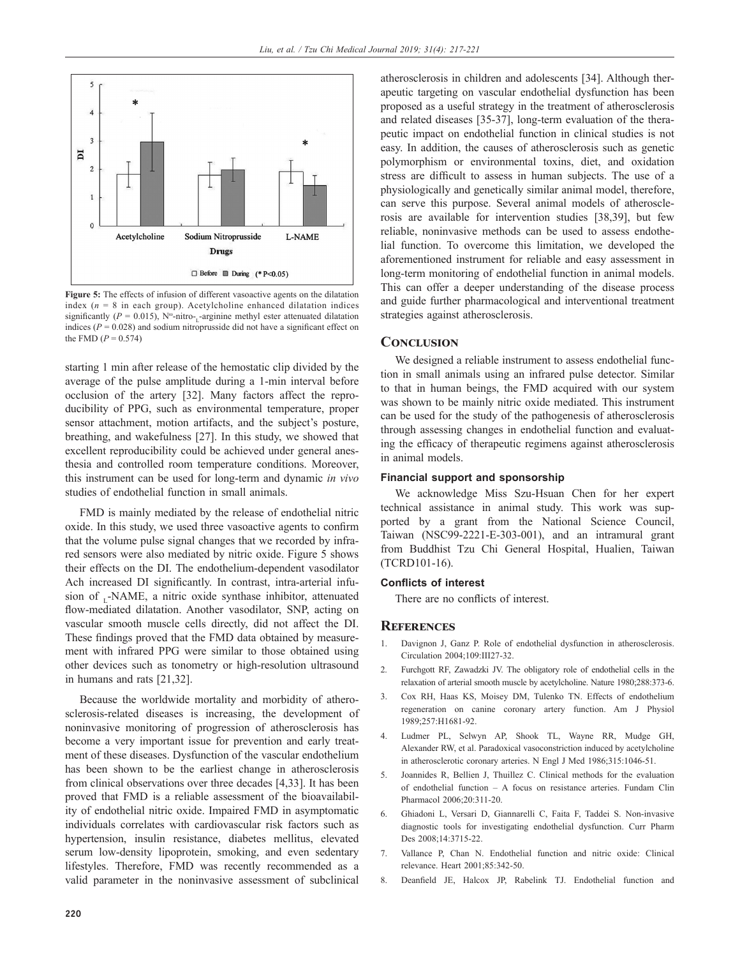

**Figure** 5: The effects of infusion of different vasoactive agents on the dilatation index  $(n = 8$  in each group). Acetylcholine enhanced dilatation indices significantly ( $P = 0.015$ ), N<sup>o</sup>-nitro-<sub>L</sub>-arginine methyl ester attenuated dilatation indices ( $P = 0.028$ ) and sodium nitroprusside did not have a significant effect on the FMD  $(P = 0.574)$ 

starting 1 min after release of the hemostatic clip divided by the average of the pulse amplitude during a 1-min interval before occlusion of the artery [32]. Many factors affect the reproducibility of PPG, such as environmental temperature, proper sensor attachment, motion artifacts, and the subject's posture, breathing, and wakefulness [27]. In this study, we showed that excellent reproducibility could be achieved under general anesthesia and controlled room temperature conditions. Moreover, this instrument can be used for long-term and dynamic *in vivo*  studies of endothelial function in small animals.

FMD is mainly mediated by the release of endothelial nitric oxide. In this study, we used three vasoactive agents to confirm that the volume pulse signal changes that we recorded by infrared sensors were also mediated by nitric oxide. Figure 5 shows their effects on the DI. The endothelium-dependent vasodilator Ach increased DI significantly. In contrast, intra-arterial infusion of ,-NAME, a nitric oxide synthase inhibitor, attenuated flow‑mediated dilatation. Another vasodilator, SNP, acting on vascular smooth muscle cells directly, did not affect the DI. These findings proved that the FMD data obtained by measurement with infrared PPG were similar to those obtained using other devices such as tonometry or high-resolution ultrasound in humans and rats [21,32].

Because the worldwide mortality and morbidity of atherosclerosis-related diseases is increasing, the development of noninvasive monitoring of progression of atherosclerosis has become a very important issue for prevention and early treatment of these diseases. Dysfunction of the vascular endothelium has been shown to be the earliest change in atherosclerosis from clinical observations over three decades [4,33]. It has been proved that FMD is a reliable assessment of the bioavailability of endothelial nitric oxide. Impaired FMD in asymptomatic individuals correlates with cardiovascular risk factors such as hypertension, insulin resistance, diabetes mellitus, elevated serum low-density lipoprotein, smoking, and even sedentary lifestyles. Therefore, FMD was recently recommended as a valid parameter in the noninvasive assessment of subclinical atherosclerosis in children and adolescents [34]. Although therapeutic targeting on vascular endothelial dysfunction has been proposed as a useful strategy in the treatment of atherosclerosis and related diseases [35-37], long-term evaluation of the therapeutic impact on endothelial function in clinical studies is not easy. In addition, the causes of atherosclerosis such as genetic polymorphism or environmental toxins, diet, and oxidation stress are difficult to assess in human subjects. The use of a physiologically and genetically similar animal model, therefore, can serve this purpose. Several animal models of atherosclerosis are available for intervention studies [38,39], but few reliable, noninvasive methods can be used to assess endothelial function. To overcome this limitation, we developed the aforementioned instrument for reliable and easy assessment in long-term monitoring of endothelial function in animal models. This can offer a deeper understanding of the disease process and guide further pharmacological and interventional treatment strategies against atherosclerosis.

## **Conclusion**

We designed a reliable instrument to assess endothelial function in small animals using an infrared pulse detector. Similar to that in human beings, the FMD acquired with our system was shown to be mainly nitric oxide mediated. This instrument can be used for the study of the pathogenesis of atherosclerosis through assessing changes in endothelial function and evaluating the efficacy of therapeutic regimens against atherosclerosis in animal models.

### **Financial support and sponsorship**

We acknowledge Miss Szu-Hsuan Chen for her expert technical assistance in animal study. This work was supported by a grant from the National Science Council, Taiwan (NSC99-2221-E-303-001), and an intramural grant from Buddhist Tzu Chi General Hospital, Hualien, Taiwan (TCRD101-16).

#### **Conflicts of interest**

There are no conflicts of interest.

### **References**

- 1. Davignon J, Ganz P. Role of endothelial dysfunction in atherosclerosis. Circulation 2004;109:III27-32.
- 2. Furchgott RF, Zawadzki JV. The obligatory role of endothelial cells in the relaxation of arterial smooth muscle by acetylcholine. Nature 1980;288:373-6.
- 3. Cox RH, Haas KS, Moisey DM, Tulenko TN. Effects of endothelium regeneration on canine coronary artery function. Am J Physiol 1989;257:H1681-92.
- 4. Ludmer PL, Selwyn AP, Shook TL, Wayne RR, Mudge GH, Alexander RW, et al. Paradoxical vasoconstriction induced by acetylcholine in atherosclerotic coronary arteries. N Engl J Med 1986;315:1046-51.
- 5. Joannides R, Bellien J, Thuillez C. Clinical methods for the evaluation of endothelial function – A focus on resistance arteries. Fundam Clin Pharmacol 2006;20:311-20.
- 6. Ghiadoni L, Versari D, Giannarelli C, Faita F, Taddei S. Non-invasive diagnostic tools for investigating endothelial dysfunction. Curr Pharm Des 2008;14:3715-22.
- 7. Vallance P, Chan N. Endothelial function and nitric oxide: Clinical relevance. Heart 2001;85:342-50.
- 8. Deanfield JE, Halcox JP, Rabelink TJ. Endothelial function and